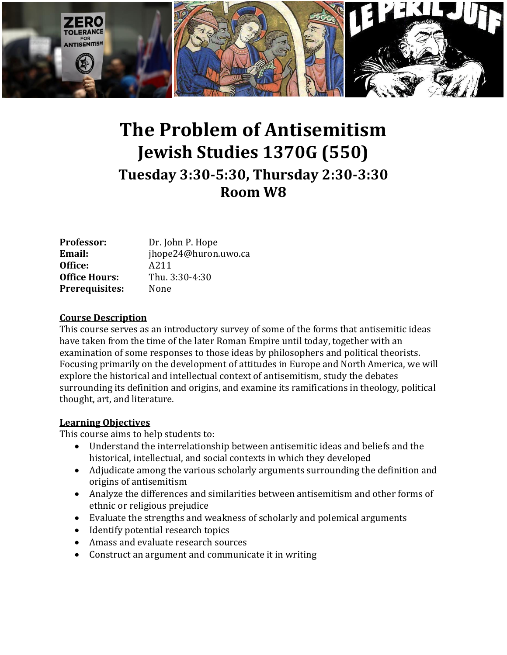

# **The Problem of Antisemitism Jewish Studies 1370G (550) Tuesday 3:30-5:30, Thursday 2:30-3:30 Room W8**

| <b>Professor:</b>     | Dr. John P. Hope     |
|-----------------------|----------------------|
| <b>Email:</b>         | jhope24@huron.uwo.ca |
| Office:               | A211                 |
| <b>Office Hours:</b>  | Thu. 3:30-4:30       |
| <b>Prerequisites:</b> | None                 |

## **Course Description**

This course serves as an introductory survey of some of the forms that antisemitic ideas have taken from the time of the later Roman Empire until today, together with an examination of some responses to those ideas by philosophers and political theorists. Focusing primarily on the development of attitudes in Europe and North America, we will explore the historical and intellectual context of antisemitism, study the debates surrounding its definition and origins, and examine its ramifications in theology, political thought, art, and literature.

## **Learning Objectives**

This course aims to help students to:

- Understand the interrelationship between antisemitic ideas and beliefs and the historical, intellectual, and social contexts in which they developed
- Adjudicate among the various scholarly arguments surrounding the definition and origins of antisemitism
- Analyze the differences and similarities between antisemitism and other forms of ethnic or religious prejudice
- Evaluate the strengths and weakness of scholarly and polemical arguments
- Identify potential research topics
- Amass and evaluate research sources
- Construct an argument and communicate it in writing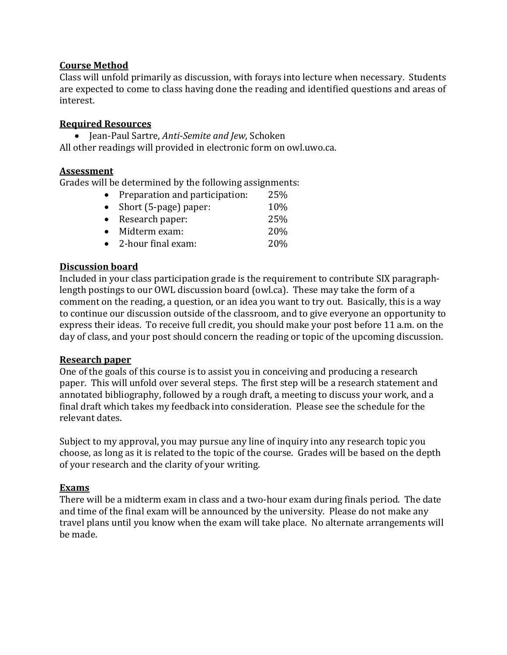## **Course Method**

Class will unfold primarily as discussion, with forays into lecture when necessary. Students are expected to come to class having done the reading and identified questions and areas of interest.

## **Required Resources**

 Jean-Paul Sartre, *Anti-Semite and Jew*, Schoken All other readings will provided in electronic form on owl.uwo.ca.

## **Assessment**

Grades will be determined by the following assignments:

| • Preparation and participation: | 25% |
|----------------------------------|-----|
| • Short (5-page) paper:          | 10% |
| • Research paper:                | 25% |
| • Midterm exam:                  | 20% |
| • 2-hour final exam:             | 20% |

## **Discussion board**

Included in your class participation grade is the requirement to contribute SIX paragraphlength postings to our OWL discussion board (owl.ca). These may take the form of a comment on the reading, a question, or an idea you want to try out. Basically, this is a way to continue our discussion outside of the classroom, and to give everyone an opportunity to express their ideas. To receive full credit, you should make your post before 11 a.m. on the day of class, and your post should concern the reading or topic of the upcoming discussion.

## **Research paper**

One of the goals of this course is to assist you in conceiving and producing a research paper. This will unfold over several steps. The first step will be a research statement and annotated bibliography, followed by a rough draft, a meeting to discuss your work, and a final draft which takes my feedback into consideration. Please see the schedule for the relevant dates.

Subject to my approval, you may pursue any line of inquiry into any research topic you choose, as long as it is related to the topic of the course. Grades will be based on the depth of your research and the clarity of your writing.

## **Exams**

There will be a midterm exam in class and a two-hour exam during finals period. The date and time of the final exam will be announced by the university. Please do not make any travel plans until you know when the exam will take place. No alternate arrangements will be made.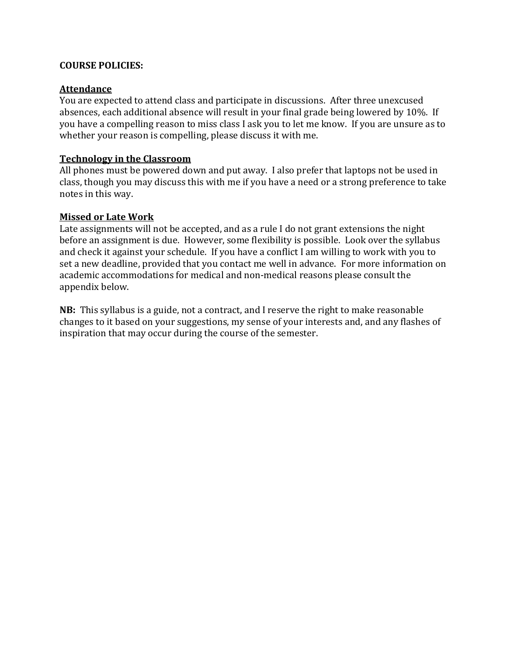## **COURSE POLICIES:**

## **Attendance**

You are expected to attend class and participate in discussions. After three unexcused absences, each additional absence will result in your final grade being lowered by 10%. If you have a compelling reason to miss class I ask you to let me know. If you are unsure as to whether your reason is compelling, please discuss it with me.

## **Technology in the Classroom**

All phones must be powered down and put away. I also prefer that laptops not be used in class, though you may discuss this with me if you have a need or a strong preference to take notes in this way.

## **Missed or Late Work**

Late assignments will not be accepted, and as a rule I do not grant extensions the night before an assignment is due. However, some flexibility is possible. Look over the syllabus and check it against your schedule. If you have a conflict I am willing to work with you to set a new deadline, provided that you contact me well in advance. For more information on academic accommodations for medical and non-medical reasons please consult the appendix below.

**NB:** This syllabus is a guide, not a contract, and I reserve the right to make reasonable changes to it based on your suggestions, my sense of your interests and, and any flashes of inspiration that may occur during the course of the semester.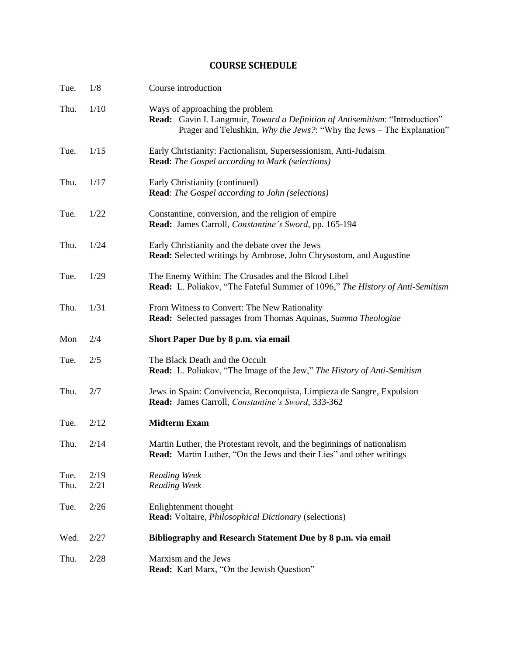## **COURSE SCHEDULE**

| Tue.         | 1/8          | Course introduction                                                                                                                                                                      |
|--------------|--------------|------------------------------------------------------------------------------------------------------------------------------------------------------------------------------------------|
| Thu.         | 1/10         | Ways of approaching the problem<br>Read: Gavin I. Langmuir, Toward a Definition of Antisemitism: "Introduction"<br>Prager and Telushkin, Why the Jews?: "Why the Jews - The Explanation" |
| Tue.         | 1/15         | Early Christianity: Factionalism, Supersessionism, Anti-Judaism<br><b>Read:</b> The Gospel according to Mark (selections)                                                                |
| Thu.         | 1/17         | Early Christianity (continued)<br><b>Read:</b> The Gospel according to John (selections)                                                                                                 |
| Tue.         | 1/22         | Constantine, conversion, and the religion of empire<br>Read: James Carroll, Constantine's Sword, pp. 165-194                                                                             |
| Thu.         | 1/24         | Early Christianity and the debate over the Jews<br>Read: Selected writings by Ambrose, John Chrysostom, and Augustine                                                                    |
| Tue.         | 1/29         | The Enemy Within: The Crusades and the Blood Libel<br>Read: L. Poliakov, "The Fateful Summer of 1096," The History of Anti-Semitism                                                      |
| Thu.         | 1/31         | From Witness to Convert: The New Rationality<br>Read: Selected passages from Thomas Aquinas, Summa Theologiae                                                                            |
| Mon          | 2/4          | Short Paper Due by 8 p.m. via email                                                                                                                                                      |
| Tue.         | 2/5          | The Black Death and the Occult<br><b>Read:</b> L. Poliakov, "The Image of the Jew," The History of Anti-Semitism                                                                         |
| Thu.         | 2/7          | Jews in Spain: Convivencia, Reconquista, Limpieza de Sangre, Expulsion<br>Read: James Carroll, Constantine's Sword, 333-362                                                              |
| Tue.         | 2/12         | <b>Midterm Exam</b>                                                                                                                                                                      |
| Thu.         | 2/14         | Martin Luther, the Protestant revolt, and the beginnings of nationalism<br>Read: Martin Luther, "On the Jews and their Lies" and other writings                                          |
| Tue.<br>Thu. | 2/19<br>2/21 | Reading Week<br>Reading Week                                                                                                                                                             |
| Tue.         | 2/26         | Enlightenment thought<br><b>Read:</b> Voltaire, <i>Philosophical Dictionary</i> (selections)                                                                                             |
| Wed.         | 2/27         | Bibliography and Research Statement Due by 8 p.m. via email                                                                                                                              |
| Thu.         | 2/28         | Marxism and the Jews<br>Read: Karl Marx, "On the Jewish Question"                                                                                                                        |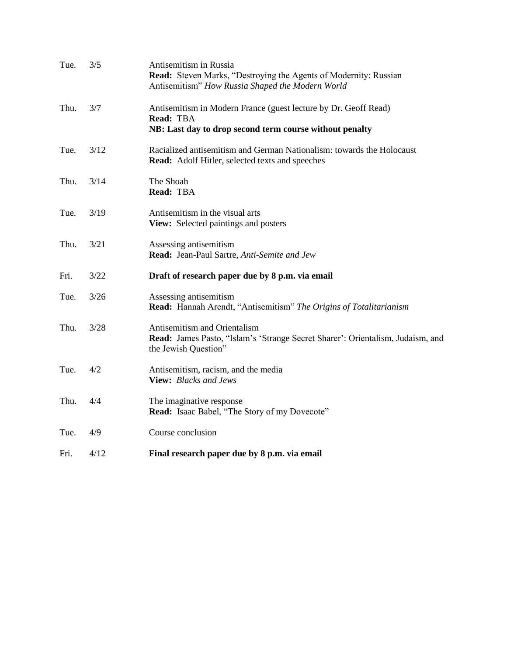| Tue. | 3/5  | Antisemitism in Russia<br><b>Read:</b> Steven Marks, "Destroying the Agents of Modernity: Russian<br>Antisemitism" How Russia Shaped the Modern World |
|------|------|-------------------------------------------------------------------------------------------------------------------------------------------------------|
| Thu. | 3/7  | Antisemitism in Modern France (guest lecture by Dr. Geoff Read)<br>Read: TBA<br>NB: Last day to drop second term course without penalty               |
| Tue. | 3/12 | Racialized antisemitism and German Nationalism: towards the Holocaust<br>Read: Adolf Hitler, selected texts and speeches                              |
| Thu. | 3/14 | The Shoah<br>Read: TBA                                                                                                                                |
| Tue. | 3/19 | Antisemitism in the visual arts<br>View: Selected paintings and posters                                                                               |
| Thu. | 3/21 | Assessing antisemitism<br>Read: Jean-Paul Sartre, Anti-Semite and Jew                                                                                 |
| Fri. | 3/22 | Draft of research paper due by 8 p.m. via email                                                                                                       |
| Tue. | 3/26 | Assessing antisemitism<br>Read: Hannah Arendt, "Antisemitism" The Origins of Totalitarianism                                                          |
| Thu. | 3/28 | Antisemitism and Orientalism<br>Read: James Pasto, "Islam's 'Strange Secret Sharer': Orientalism, Judaism, and<br>the Jewish Question"                |
| Tue. | 4/2  | Antisemitism, racism, and the media<br>View: Blacks and Jews                                                                                          |
| Thu. | 4/4  | The imaginative response<br>Read: Isaac Babel, "The Story of my Dovecote"                                                                             |
|      |      |                                                                                                                                                       |
| Tue. | 4/9  | Course conclusion                                                                                                                                     |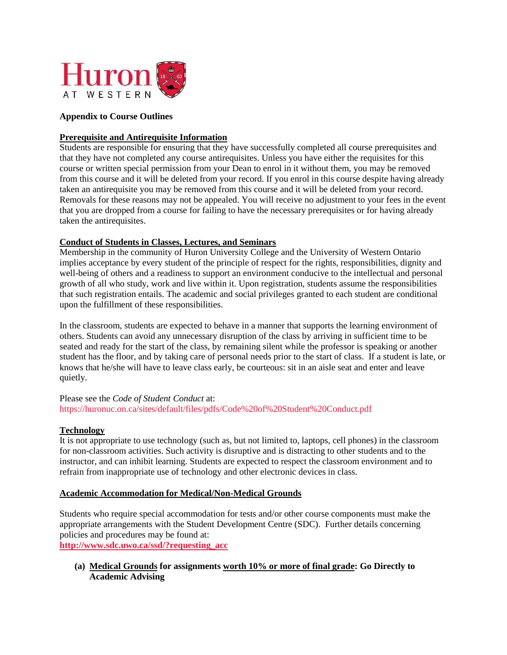

#### **Appendix to Course Outlines**

#### **Prerequisite and Antirequisite Information**

Students are responsible for ensuring that they have successfully completed all course prerequisites and that they have not completed any course antirequisites. Unless you have either the requisites for this course or written special permission from your Dean to enrol in it without them, you may be removed from this course and it will be deleted from your record. If you enrol in this course despite having already taken an antirequisite you may be removed from this course and it will be deleted from your record. Removals for these reasons may not be appealed. You will receive no adjustment to your fees in the event that you are dropped from a course for failing to have the necessary prerequisites or for having already taken the antirequisites.

#### **Conduct of Students in Classes, Lectures, and Seminars**

Membership in the community of Huron University College and the University of Western Ontario implies acceptance by every student of the principle of respect for the rights, responsibilities, dignity and well-being of others and a readiness to support an environment conducive to the intellectual and personal growth of all who study, work and live within it. Upon registration, students assume the responsibilities that such registration entails. The academic and social privileges granted to each student are conditional upon the fulfillment of these responsibilities.

In the classroom, students are expected to behave in a manner that supports the learning environment of others. Students can avoid any unnecessary disruption of the class by arriving in sufficient time to be seated and ready for the start of the class, by remaining silent while the professor is speaking or another student has the floor, and by taking care of personal needs prior to the start of class. If a student is late, or knows that he/she will have to leave class early, be courteous: sit in an aisle seat and enter and leave quietly.

Please see the *Code of Student Conduct* at: https://huronuc.on.ca/sites/default/files/pdfs/Code%20of%20Student%20Conduct.pdf

#### **Technology**

It is not appropriate to use technology (such as, but not limited to, laptops, cell phones) in the classroom for non-classroom activities. Such activity is disruptive and is distracting to other students and to the instructor, and can inhibit learning. Students are expected to respect the classroom environment and to refrain from inappropriate use of technology and other electronic devices in class.

#### **Academic Accommodation for Medical/Non-Medical Grounds**

Students who require special accommodation for tests and/or other course components must make the appropriate arrangements with the Student Development Centre (SDC). Further details concerning policies and procedures may be found at: **[http://www.sdc.uwo.ca/ssd/?requesting\\_acc](http://www.sdc.uwo.ca/ssd/?requesting_acc)**

**(a) Medical Grounds for assignments worth 10% or more of final grade: Go Directly to Academic Advising**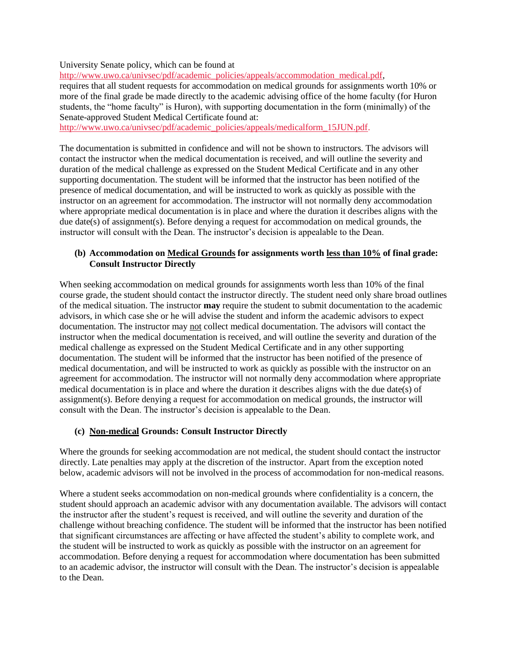University Senate policy, which can be found at

[http://www.uwo.ca/univsec/pdf/academic\\_policies/appeals/accommodation\\_medical.pdf,](http://www.uwo.ca/univsec/pdf/academic_policies/appeals/accommodation_medical.pdf) requires that all student requests for accommodation on medical grounds for assignments worth 10% or more of the final grade be made directly to the academic advising office of the home faculty (for Huron

students, the "home faculty" is Huron), with supporting documentation in the form (minimally) of the Senate-approved Student Medical Certificate found at:

[http://www.uwo.ca/univsec/pdf/academic\\_policies/appeals/medicalform\\_15JUN.pdf.](http://www.uwo.ca/univsec/pdf/academic_policies/appeals/medicalform_15JUN.pdf)

The documentation is submitted in confidence and will not be shown to instructors. The advisors will contact the instructor when the medical documentation is received, and will outline the severity and duration of the medical challenge as expressed on the Student Medical Certificate and in any other supporting documentation. The student will be informed that the instructor has been notified of the presence of medical documentation, and will be instructed to work as quickly as possible with the instructor on an agreement for accommodation. The instructor will not normally deny accommodation where appropriate medical documentation is in place and where the duration it describes aligns with the due date(s) of assignment(s). Before denying a request for accommodation on medical grounds, the instructor will consult with the Dean. The instructor's decision is appealable to the Dean.

#### **(b) Accommodation on Medical Grounds for assignments worth less than 10% of final grade: Consult Instructor Directly**

When seeking accommodation on medical grounds for assignments worth less than 10% of the final course grade, the student should contact the instructor directly. The student need only share broad outlines of the medical situation. The instructor **may** require the student to submit documentation to the academic advisors, in which case she or he will advise the student and inform the academic advisors to expect documentation. The instructor may not collect medical documentation. The advisors will contact the instructor when the medical documentation is received, and will outline the severity and duration of the medical challenge as expressed on the Student Medical Certificate and in any other supporting documentation. The student will be informed that the instructor has been notified of the presence of medical documentation, and will be instructed to work as quickly as possible with the instructor on an agreement for accommodation. The instructor will not normally deny accommodation where appropriate medical documentation is in place and where the duration it describes aligns with the due date(s) of assignment(s). Before denying a request for accommodation on medical grounds, the instructor will consult with the Dean. The instructor's decision is appealable to the Dean.

## **(c) Non-medical Grounds: Consult Instructor Directly**

Where the grounds for seeking accommodation are not medical, the student should contact the instructor directly. Late penalties may apply at the discretion of the instructor. Apart from the exception noted below, academic advisors will not be involved in the process of accommodation for non-medical reasons.

Where a student seeks accommodation on non-medical grounds where confidentiality is a concern, the student should approach an academic advisor with any documentation available. The advisors will contact the instructor after the student's request is received, and will outline the severity and duration of the challenge without breaching confidence. The student will be informed that the instructor has been notified that significant circumstances are affecting or have affected the student's ability to complete work, and the student will be instructed to work as quickly as possible with the instructor on an agreement for accommodation. Before denying a request for accommodation where documentation has been submitted to an academic advisor, the instructor will consult with the Dean. The instructor's decision is appealable to the Dean.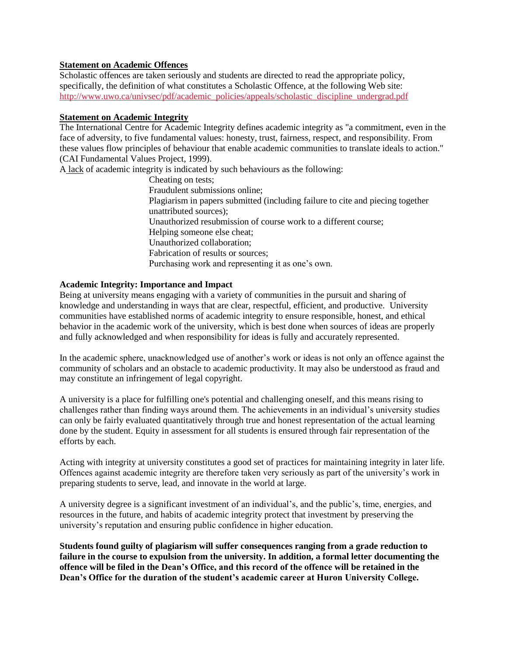#### **Statement on Academic Offences**

Scholastic offences are taken seriously and students are directed to read the appropriate policy, specifically, the definition of what constitutes a Scholastic Offence, at the following Web site: [http://www.uwo.ca/univsec/pdf/academic\\_policies/appeals/scholastic\\_discipline\\_undergrad.pdf](http://www.uwo.ca/univsec/pdf/academic_policies/appeals/scholastic_discipline_undergrad.pdf)

#### **Statement on Academic Integrity**

The International Centre for Academic Integrity defines academic integrity as "a commitment, even in the face of adversity, to five fundamental values: honesty, trust, fairness, respect, and responsibility. From these values flow principles of behaviour that enable academic communities to translate ideals to action." (CAI Fundamental Values Project, 1999).

A lack of academic integrity is indicated by such behaviours as the following:

Cheating on tests; Fraudulent submissions online; Plagiarism in papers submitted (including failure to cite and piecing together unattributed sources); Unauthorized resubmission of course work to a different course; Helping someone else cheat; Unauthorized collaboration; Fabrication of results or sources; Purchasing work and representing it as one's own.

#### **Academic Integrity: Importance and Impact**

Being at university means engaging with a variety of communities in the pursuit and sharing of knowledge and understanding in ways that are clear, respectful, efficient, and productive. University communities have established norms of academic integrity to ensure responsible, honest, and ethical behavior in the academic work of the university, which is best done when sources of ideas are properly and fully acknowledged and when responsibility for ideas is fully and accurately represented.

In the academic sphere, unacknowledged use of another's work or ideas is not only an offence against the community of scholars and an obstacle to academic productivity. It may also be understood as fraud and may constitute an infringement of legal copyright.

A university is a place for fulfilling one's potential and challenging oneself, and this means rising to challenges rather than finding ways around them. The achievements in an individual's university studies can only be fairly evaluated quantitatively through true and honest representation of the actual learning done by the student. Equity in assessment for all students is ensured through fair representation of the efforts by each.

Acting with integrity at university constitutes a good set of practices for maintaining integrity in later life. Offences against academic integrity are therefore taken very seriously as part of the university's work in preparing students to serve, lead, and innovate in the world at large.

A university degree is a significant investment of an individual's, and the public's, time, energies, and resources in the future, and habits of academic integrity protect that investment by preserving the university's reputation and ensuring public confidence in higher education.

**Students found guilty of plagiarism will suffer consequences ranging from a grade reduction to failure in the course to expulsion from the university. In addition, a formal letter documenting the offence will be filed in the Dean's Office, and this record of the offence will be retained in the Dean's Office for the duration of the student's academic career at Huron University College.**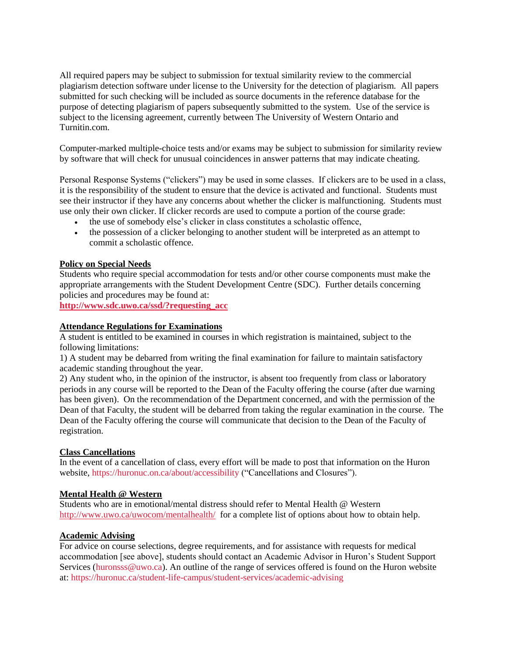All required papers may be subject to submission for textual similarity review to the commercial plagiarism detection software under license to the University for the detection of plagiarism. All papers submitted for such checking will be included as source documents in the reference database for the purpose of detecting plagiarism of papers subsequently submitted to the system. Use of the service is subject to the licensing agreement, currently between The University of Western Ontario and Turnitin.com.

Computer-marked multiple-choice tests and/or exams may be subject to submission for similarity review by software that will check for unusual coincidences in answer patterns that may indicate cheating.

Personal Response Systems ("clickers") may be used in some classes. If clickers are to be used in a class, it is the responsibility of the student to ensure that the device is activated and functional. Students must see their instructor if they have any concerns about whether the clicker is malfunctioning. Students must use only their own clicker. If clicker records are used to compute a portion of the course grade:

- the use of somebody else's clicker in class constitutes a scholastic offence,
- the possession of a clicker belonging to another student will be interpreted as an attempt to commit a scholastic offence.

#### **Policy on Special Needs**

Students who require special accommodation for tests and/or other course components must make the appropriate arrangements with the Student Development Centre (SDC). Further details concerning policies and procedures may be found at:

**[http://www.sdc.uwo.ca/ssd/?requesting\\_acc](http://www.sdc.uwo.ca/ssd/?requesting_acc)**

#### **Attendance Regulations for Examinations**

A student is entitled to be examined in courses in which registration is maintained, subject to the following limitations:

1) A student may be debarred from writing the final examination for failure to maintain satisfactory academic standing throughout the year.

2) Any student who, in the opinion of the instructor, is absent too frequently from class or laboratory periods in any course will be reported to the Dean of the Faculty offering the course (after due warning has been given). On the recommendation of the Department concerned, and with the permission of the Dean of that Faculty, the student will be debarred from taking the regular examination in the course. The Dean of the Faculty offering the course will communicate that decision to the Dean of the Faculty of registration.

#### **Class Cancellations**

In the event of a cancellation of class, every effort will be made to post that information on the Huron website, https://huronuc.on.ca/about/accessibility ("Cancellations and Closures").

#### **Mental Health @ Western**

Students who are in emotional/mental distress should refer to Mental Health @ Western <http://www.uwo.ca/uwocom/mentalhealth/> for a complete list of options about how to obtain help.

#### **Academic Advising**

For advice on course selections, degree requirements, and for assistance with requests for medical accommodation [see above], students should contact an Academic Advisor in Huron's Student Support Services [\(huronsss@uwo.ca\)](mailto:huronsss@uwo.ca). An outline of the range of services offered is found on the Huron website at: https://huronuc.ca/student-life-campus/student-services/academic-advising